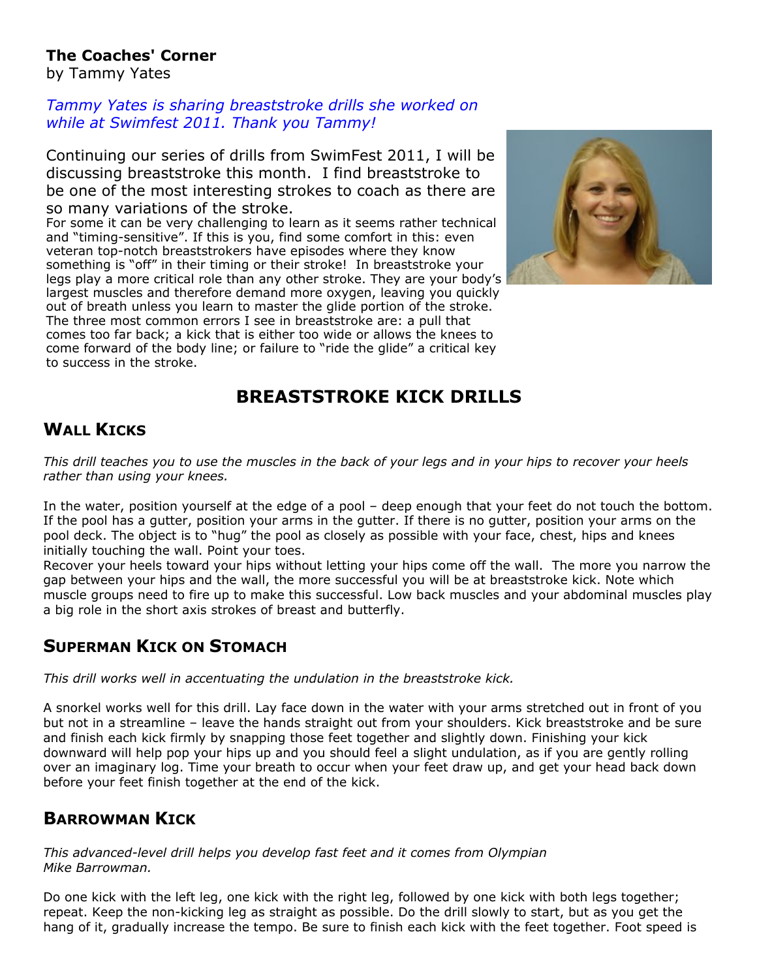#### **The Coaches' Corner**

by Tammy Yates

#### *Tammy Yates is sharing breaststroke drills she worked on while at Swimfest 2011. Thank you Tammy!*

Continuing our series of drills from SwimFest 2011, I will be discussing breaststroke this month. I find breaststroke to be one of the most interesting strokes to coach as there are so many variations of the stroke.

For some it can be very challenging to learn as it seems rather technical and "timing-sensitive". If this is you, find some comfort in this: even veteran top-notch breaststrokers have episodes where they know something is "off" in their timing or their stroke! In breaststroke your legs play a more critical role than any other stroke. They are your body's largest muscles and therefore demand more oxygen, leaving you quickly out of breath unless you learn to master the glide portion of the stroke. The three most common errors I see in breaststroke are: a pull that comes too far back; a kick that is either too wide or allows the knees to come forward of the body line; or failure to "ride the glide" a critical key to success in the stroke.



# **BREASTSTROKE KICK DRILLS**

### **WALL KICKS**

This drill teaches you to use the muscles in the back of your legs and in your hips to recover your heels *rather than using your knees.*

In the water, position yourself at the edge of a pool – deep enough that your feet do not touch the bottom. If the pool has a gutter, position your arms in the gutter. If there is no gutter, position your arms on the pool deck. The object is to "hug" the pool as closely as possible with your face, chest, hips and knees initially touching the wall. Point your toes.

Recover your heels toward your hips without letting your hips come off the wall. The more you narrow the gap between your hips and the wall, the more successful you will be at breaststroke kick. Note which muscle groups need to fire up to make this successful. Low back muscles and your abdominal muscles play a big role in the short axis strokes of breast and butterfly.

# **SUPERMAN KICK ON STOMACH**

*This drill works well in accentuating the undulation in the breaststroke kick.*

A snorkel works well for this drill. Lay face down in the water with your arms stretched out in front of you but not in a streamline – leave the hands straight out from your shoulders. Kick breaststroke and be sure and finish each kick firmly by snapping those feet together and slightly down. Finishing your kick downward will help pop your hips up and you should feel a slight undulation, as if you are gently rolling over an imaginary log. Time your breath to occur when your feet draw up, and get your head back down before your feet finish together at the end of the kick.

### **BARROWMAN KICK**

*This advanced-level drill helps you develop fast feet and it comes from Olympian Mike Barrowman.*

Do one kick with the left leg, one kick with the right leg, followed by one kick with both legs together; repeat. Keep the non-kicking leg as straight as possible. Do the drill slowly to start, but as you get the hang of it, gradually increase the tempo. Be sure to finish each kick with the feet together. Foot speed is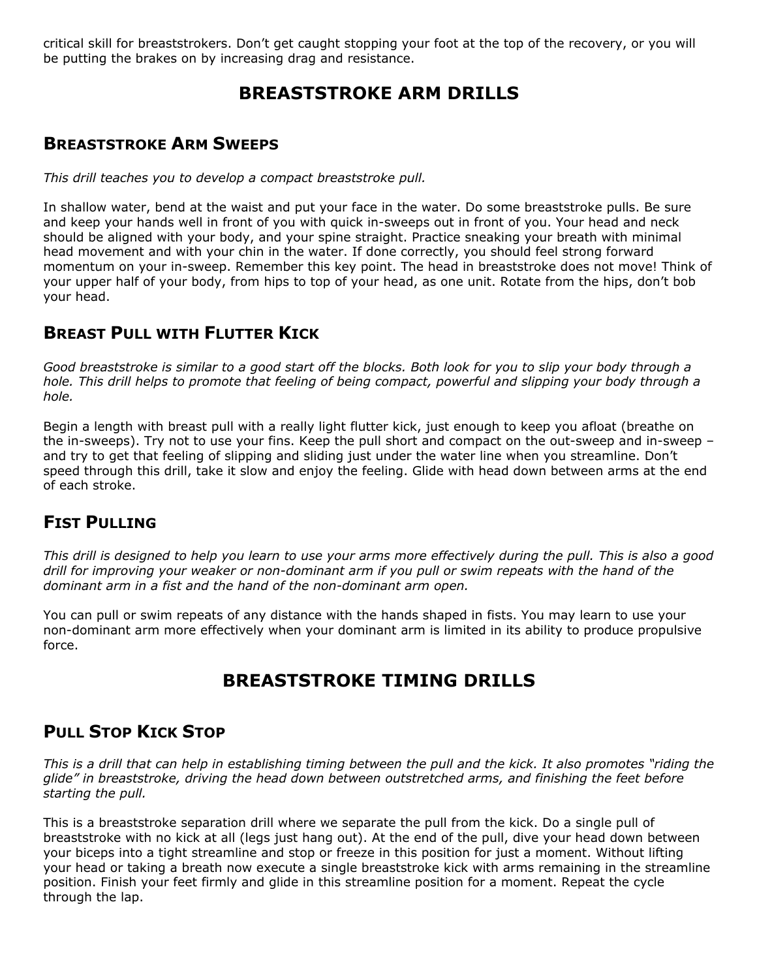critical skill for breaststrokers. Don't get caught stopping your foot at the top of the recovery, or you will be putting the brakes on by increasing drag and resistance.

# **BREASTSTROKE ARM DRILLS**

#### **BREASTSTROKE ARM SWEEPS**

*This drill teaches you to develop a compact breaststroke pull.*

In shallow water, bend at the waist and put your face in the water. Do some breaststroke pulls. Be sure and keep your hands well in front of you with quick in-sweeps out in front of you. Your head and neck should be aligned with your body, and your spine straight. Practice sneaking your breath with minimal head movement and with your chin in the water. If done correctly, you should feel strong forward momentum on your in-sweep. Remember this key point. The head in breaststroke does not move! Think of your upper half of your body, from hips to top of your head, as one unit. Rotate from the hips, don't bob your head.

#### **BREAST PULL WITH FLUTTER KICK**

Good breaststroke is similar to a good start off the blocks. Both look for you to slip your body through a hole. This drill helps to promote that feeling of being compact, powerful and slipping your body through a *hole.*

Begin a length with breast pull with a really light flutter kick, just enough to keep you afloat (breathe on the in-sweeps). Try not to use your fins. Keep the pull short and compact on the out-sweep and in-sweep – and try to get that feeling of slipping and sliding just under the water line when you streamline. Don't speed through this drill, take it slow and enjoy the feeling. Glide with head down between arms at the end of each stroke.

### **FIST PULLING**

This drill is designed to help you learn to use your arms more effectively during the pull. This is also a good drill for improving your weaker or non-dominant arm if you pull or swim repeats with the hand of the *dominant arm in a fist and the hand of the non-dominant arm open.*

You can pull or swim repeats of any distance with the hands shaped in fists. You may learn to use your non-dominant arm more effectively when your dominant arm is limited in its ability to produce propulsive force.

# **BREASTSTROKE TIMING DRILLS**

#### **PULL STOP KICK STOP**

This is a drill that can help in establishing timing between the pull and the kick. It also promotes "riding the *glide" in breaststroke, driving the head down between outstretched arms, and finishing the feet before starting the pull.*

This is a breaststroke separation drill where we separate the pull from the kick. Do a single pull of breaststroke with no kick at all (legs just hang out). At the end of the pull, dive your head down between your biceps into a tight streamline and stop or freeze in this position for just a moment. Without lifting your head or taking a breath now execute a single breaststroke kick with arms remaining in the streamline position. Finish your feet firmly and glide in this streamline position for a moment. Repeat the cycle through the lap.